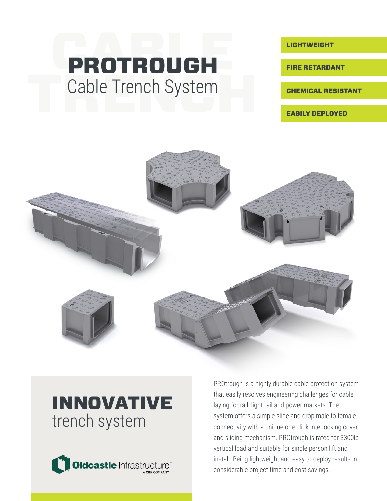# PROTROUGH Cable Trench System

LIGHTWEIGHT

FIRE RETARDANT

CHEMICAL RESISTANT

EASILY DEPLOYED



### INNOVATIVE trench system



PROtrough is a highly durable cable protection system that easily resolves engineering challenges for cable laying for rail, light rail and power markets. The system offers a simple slide and drop male to female connectivity with a unique one click interlocking cover and sliding mechanism. PROtrough is rated for 3300lb vertical load and suitable for single person lift and install. Being lightweight and easy to deploy results in considerable project time and cost savings.